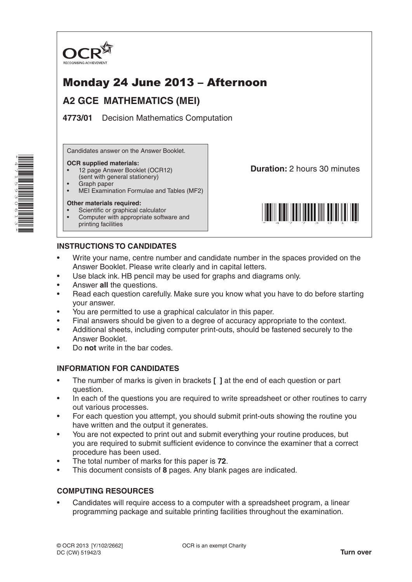

# Monday 24 June 2013 – Afternoon

## **A2 GCE MATHEMATICS (MEI)**

**4773/01** Decision Mathematics Computation

Candidates answer on the Answer Booklet.

#### **OCR supplied materials:**

- 12 page Answer Booklet (OCR12) (sent with general stationery)
- Graph paper
- MEI Examination Formulae and Tables (MF2)

#### **Other materials required:**

- Scientific or graphical calculator
- Computer with appropriate software and printing facilities

**Duration:** 2 hours 30 minutes



## **INSTRUCTIONS TO CANDIDATES**

- Write your name, centre number and candidate number in the spaces provided on the Answer Booklet. Please write clearly and in capital letters.
- Use black ink. HB pencil may be used for graphs and diagrams only.
- Answer **all** the questions.
- Read each question carefully. Make sure you know what you have to do before starting your answer.
- You are permitted to use a graphical calculator in this paper.
- Final answers should be given to a degree of accuracy appropriate to the context.
- Additional sheets, including computer print-outs, should be fastened securely to the Answer Booklet.
- Do **not** write in the bar codes.

## **INFORMATION FOR CANDIDATES**

- The number of marks is given in brackets **[ ]** at the end of each question or part question.
- In each of the questions you are required to write spreadsheet or other routines to carry out various processes.
- For each question you attempt, you should submit print-outs showing the routine you have written and the output it generates.
- You are not expected to print out and submit everything your routine produces, but you are required to submit sufficient evidence to convince the examiner that a correct procedure has been used.
- The total number of marks for this paper is **72**.
- This document consists of **8** pages. Any blank pages are indicated.

## **COMPUTING RESOURCES**

• Candidates will require access to a computer with a spreadsheet program, a linear programming package and suitable printing facilities throughout the examination.

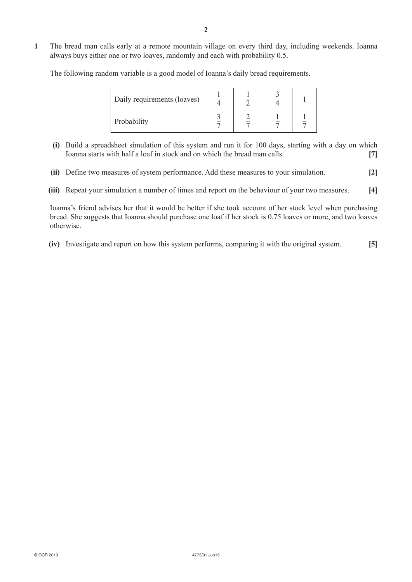**1** The bread man calls early at a remote mountain village on every third day, including weekends. Ioanna always buys either one or two loaves, randomly and each with probability 0.5.

The following random variable is a good model of Ioanna's daily bread requirements.

| Daily requirements (loaves) |  |  |
|-----------------------------|--|--|
| Probability                 |  |  |

- **(i)** Build a spreadsheet simulation of this system and run it for 100 days, starting with a day on which Ioanna starts with half a loaf in stock and on which the bread man calls. **[7]**
- **(ii)** Define two measures of system performance. Add these measures to your simulation. **[2]**
- **(iii)** Repeat your simulation a number of times and report on the behaviour of your two measures. [4]

Ioanna's friend advises her that it would be better if she took account of her stock level when purchasing bread. She suggests that Ioanna should purchase one loaf if her stock is 0.75 loaves or more, and two loaves otherwise.

**(iv)** Investigate and report on how this system performs, comparing it with the original system. **[5]**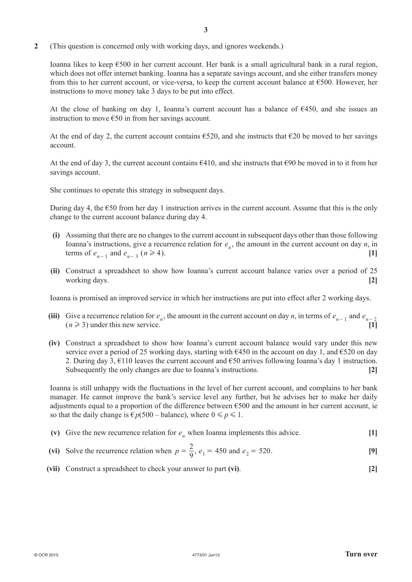**2**  (This question is concerned only with working days, and ignores weekends.)

Ioanna likes to keep €500 in her current account. Her bank is a small agricultural bank in a rural region, which does not offer internet banking. Ioanna has a separate savings account, and she either transfers money from this to her current account, or vice-versa, to keep the current account balance at  $\epsilon$ 500. However, her instructions to move money take 3 days to be put into effect.

At the close of banking on day 1, Ioanna's current account has a balance of €450, and she issues an instruction to move €50 in from her savings account.

At the end of day 2, the current account contains  $\epsilon$ 520, and she instructs that  $\epsilon$ 20 be moved to her savings account.

At the end of day 3, the current account contains €410, and she instructs that €90 be moved in to it from her savings account.

She continues to operate this strategy in subsequent days.

During day 4, the €50 from her day 1 instruction arrives in the current account. Assume that this is the only change to the current account balance during day 4.

- **(i)** Assuming that there are no changes to the current account in subsequent days other than those following Ioanna's instructions, give a recurrence relation for  $e_n$ , the amount in the current account on day *n*, in terms of  $e_{n-1}$  and  $e_{n-3}$  ( $n \ge 4$ ). [1]
- **(ii)** Construct a spreadsheet to show how Ioanna's current account balance varies over a period of 25 working days. **[2]**

Ioanna is promised an improved service in which her instructions are put into effect after 2 working days.

- **(iii)** Give a recurrence relation for  $e_n$ , the amount in the current account on day *n*, in terms of  $e_{n-1}$  and  $e_{n-2}$  $(n \ge 3)$  under this new service. **[1]**
- **(iv)** Construct a spreadsheet to show how Ioanna's current account balance would vary under this new service over a period of 25 working days, starting with  $6450$  in the account on day 1, and  $6520$  on day 2. During day 3,  $\epsilon$ 110 leaves the current account and  $\epsilon$ 50 arrives following Ioanna's day 1 instruction. Subsequently the only changes are due to Ioanna's instructions. **[2]**

Ioanna is still unhappy with the fluctuations in the level of her current account, and complains to her bank manager. He cannot improve the bank's service level any further, but he advises her to make her daily adjustments equal to a proportion of the difference between €500 and the amount in her current account, ie so that the daily change is  $\epsilon p(500 - \text{balance})$ , where  $0 \le p \le 1$ .

- **(v)** Give the new recurrence relation for  $e_n$  when Ioanna implements this advice.  $[1]$
- (vi) Solve the recurrence relation when  $p = \frac{2}{9}$ ,  $e_1 = 450$  and  $e_2 = 520$ . [9]
	- **(vii)**  Construct a spreadsheet to check your answer to part **(vi)**. **[2]**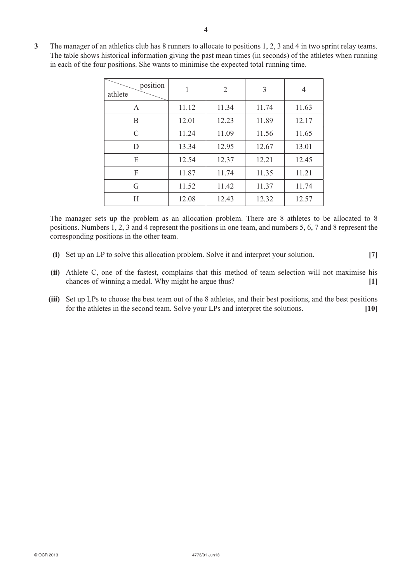| position<br>athlete | 1     | 2     | 3     | 4     |
|---------------------|-------|-------|-------|-------|
| A                   | 11.12 | 11.34 | 11.74 | 11.63 |
| B                   | 12.01 | 12.23 | 11.89 | 12.17 |
| $\mathcal{C}$       | 11.24 | 11.09 | 11.56 | 11.65 |
| D                   | 13.34 | 12.95 | 12.67 | 13.01 |
| E                   | 12.54 | 12.37 | 12.21 | 12.45 |
| F                   | 11.87 | 11.74 | 11.35 | 11.21 |
| G                   | 11.52 | 11.42 | 11.37 | 11.74 |
|                     |       |       |       |       |

**3**  The manager of an athletics club has 8 runners to allocate to positions 1, 2, 3 and 4 in two sprint relay teams. The table shows historical information giving the past mean times (in seconds) of the athletes when running in each of the four positions. She wants to minimise the expected total running time.

The manager sets up the problem as an allocation problem. There are 8 athletes to be allocated to 8 positions. Numbers 1, 2, 3 and 4 represent the positions in one team, and numbers 5, 6, 7 and 8 represent the corresponding positions in the other team.

H 12.08 12.43 12.32 12.57

- **(i)** Set up an LP to solve this allocation problem. Solve it and interpret your solution. [7]
- **(ii)** Athlete C, one of the fastest, complains that this method of team selection will not maximise his chances of winning a medal. Why might he argue thus? **[1]**
- **(iii)** Set up LPs to choose the best team out of the 8 athletes, and their best positions, and the best positions for the athletes in the second team. Solve your LPs and interpret the solutions. **[10]**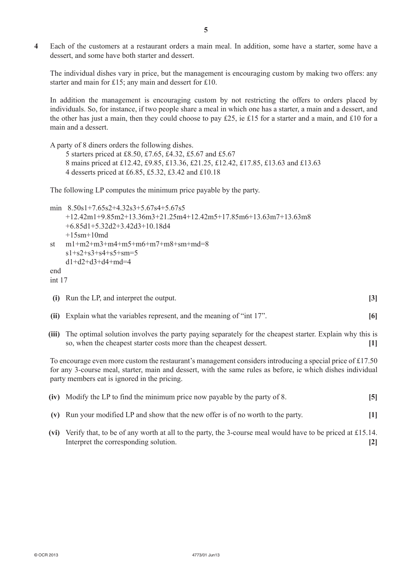**4**  Each of the customers at a restaurant orders a main meal. In addition, some have a starter, some have a dessert, and some have both starter and dessert.

The individual dishes vary in price, but the management is encouraging custom by making two offers: any starter and main for £15; any main and dessert for £10.

In addition the management is encouraging custom by not restricting the offers to orders placed by individuals. So, for instance, if two people share a meal in which one has a starter, a main and a dessert, and the other has just a main, then they could choose to pay £25, ie £15 for a starter and a main, and £10 for a main and a dessert.

A party of 8 diners orders the following dishes.

 5 starters priced at £8.50, £7.65, £4.32, £5.67 and £5.67 8 mains priced at £12.42, £9.85, £13.36, £21.25, £12.42, £17.85, £13.63 and £13.63 4 desserts priced at £6.85, £5.32, £3.42 and £10.18

The following LP computes the minimum price payable by the party.

```
min 8.50s1+7.65s2+4.32s3+5.67s4+5.67s5 +12.42m1+9.85m2+13.36m3+21.25m4+12.42m5+17.85m6+13.63m7+13.63m8
    +6.85d1+5.32d2+3.42d3+10.18d4
   +15sm+10md
st m1+m2+m3+m4+m5+m6+m7+m8+sm+md=8
   s1+s2+s3+s4+s5+sm=5d1+d2+d3+d4+md=4end
int 17
(i) Run the LP, and interpret the output. [3]
```
- 
- **(ii)** Explain what the variables represent, and the meaning of "int 17".
- **(iii)** The optimal solution involves the party paying separately for the cheapest starter. Explain why this is so, when the cheapest starter costs more than the cheapest dessert. **[1]**

To encourage even more custom the restaurant's management considers introducing a special price of £17.50 for any 3-course meal, starter, main and dessert, with the same rules as before, ie which dishes individual party members eat is ignored in the pricing.

| (iv) Modify the LP to find the minimum price now payable by the party of 8. |                                                                                   |  |  |
|-----------------------------------------------------------------------------|-----------------------------------------------------------------------------------|--|--|
|                                                                             | (v) Run your modified LP and show that the new offer is of no worth to the party. |  |  |

**(vi)** Verify that, to be of any worth at all to the party, the 3-course meal would have to be priced at £15.14. Interpret the corresponding solution. **[2]**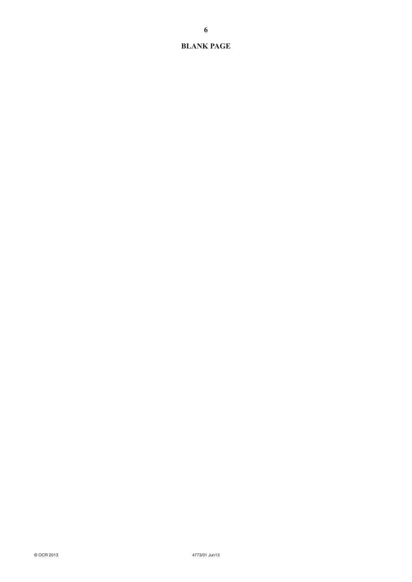#### **BLANK PAGE**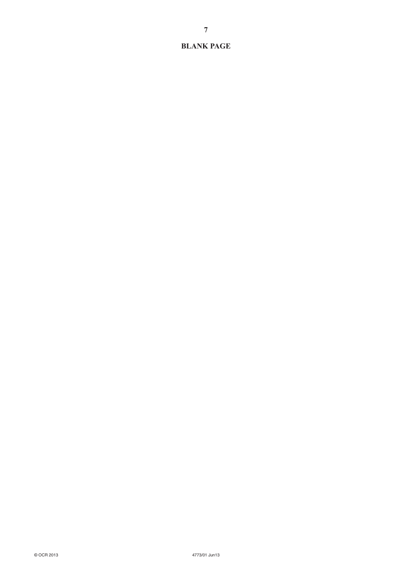#### **BLANK PAGE**